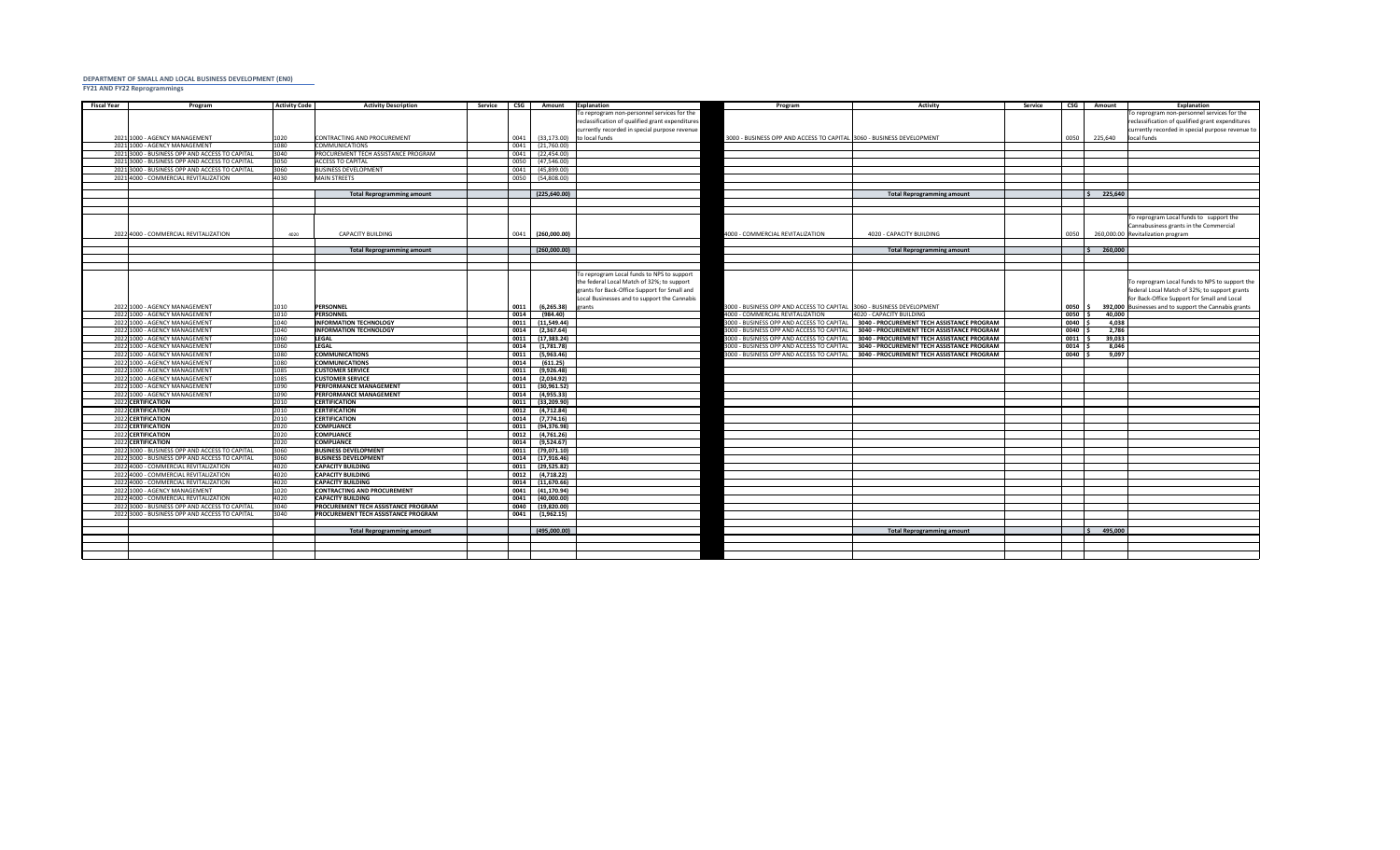## **DEPARTMENT OF SMALL AND LOCAL BUSINESS DEVELOPMENT (EN0) FY21 AND FY22 Reprogrammings**

| <b>Fiscal Year</b>                       | Program                                        | <b>Activity Code</b> | <b>Activity Description</b>                  | <b>Service</b> | <b>CSG</b><br><b>Amount</b>       | Explanation                                      | Program                                                                | <b>Activity</b>                                   | <b>Service</b> | <b>CSG</b>    | <b>Amount</b> | Explanation                                           |
|------------------------------------------|------------------------------------------------|----------------------|----------------------------------------------|----------------|-----------------------------------|--------------------------------------------------|------------------------------------------------------------------------|---------------------------------------------------|----------------|---------------|---------------|-------------------------------------------------------|
|                                          |                                                |                      |                                              |                |                                   | To reprogram non-personnel services for the      |                                                                        |                                                   |                |               |               | To reprogram non-personnel services for the           |
|                                          |                                                |                      |                                              |                |                                   | reclassification of qualified grant expenditures |                                                                        |                                                   |                |               |               | reclassification of qualified grant expenditures      |
|                                          |                                                |                      |                                              |                |                                   | currently recorded in special purpose revenue    |                                                                        |                                                   |                |               |               | currently recorded in special purpose revenue to      |
|                                          | 2021 1000 - AGENCY MANAGEMENT                  | 1020                 | CONTRACTING AND PROCUREMENT                  |                | (33, 173.00)<br>0041              | to local funds                                   | 3000 - BUSINESS OPP AND ACCESS TO CAPITAL 3060 - BUSINESS DEVELOPMENT  |                                                   |                | 0050          | 225,640       | local funds                                           |
|                                          | 2021 1000 - AGENCY MANAGEMENT                  | 1080                 | <b>COMMUNICATIONS</b>                        |                | (21,760.00)<br>0041               |                                                  |                                                                        |                                                   |                |               |               |                                                       |
|                                          | 2021 3000 - BUSINESS OPP AND ACCESS TO CAPITAL | 3040                 | PROCUREMENT TECH ASSISTANCE PROGRAM          |                | 0041<br>(22, 454.00)              |                                                  |                                                                        |                                                   |                |               |               |                                                       |
|                                          | 2021 3000 - BUSINESS OPP AND ACCESS TO CAPITAL | 3050                 | <b>ACCESS TO CAPITAL</b>                     |                | 0050<br>(47,546.00)               |                                                  |                                                                        |                                                   |                |               |               |                                                       |
|                                          | 2021 3000 - BUSINESS OPP AND ACCESS TO CAPITAL | 3060                 | <b>BUSINESS DEVELOPMENT</b>                  |                | 0041<br>(45,899.00)               |                                                  |                                                                        |                                                   |                |               |               |                                                       |
|                                          | 2021 4000 - COMMERCIAL REVITALIZATION          | 4030                 | MAIN STREETS                                 |                | 0050<br>(54,808.00)               |                                                  |                                                                        |                                                   |                |               |               |                                                       |
|                                          |                                                |                      |                                              |                |                                   |                                                  |                                                                        |                                                   |                |               |               |                                                       |
|                                          |                                                |                      | <b>Total Reprogramming amount</b>            |                | (225, 640.00)                     |                                                  |                                                                        | <b>Total Reprogramming amount</b>                 |                |               | 225,640       |                                                       |
|                                          |                                                |                      |                                              |                |                                   |                                                  |                                                                        |                                                   |                |               |               | To reprogram Local funds to support the               |
|                                          |                                                |                      |                                              |                |                                   |                                                  |                                                                        |                                                   |                |               |               | Cannabusiness grants in the Commercial                |
|                                          | 2022 4000 - COMMERCIAL REVITALIZATION          | 4020                 | <b>CAPACITY BUILDING</b>                     |                | (260,000.00)<br>0041              |                                                  | 4000 - COMMERCIAL REVITALIZATION                                       | 4020 - CAPACITY BUILDING                          |                | 0050          |               | 260,000.00 Revitalization program                     |
|                                          |                                                |                      |                                              |                |                                   |                                                  |                                                                        |                                                   |                |               |               |                                                       |
|                                          |                                                |                      | <b>Total Reprogramming amount</b>            |                | (260,000.00)                      |                                                  |                                                                        | <b>Total Reprogramming amount</b>                 |                |               | 260,000       |                                                       |
|                                          |                                                |                      |                                              |                |                                   |                                                  |                                                                        |                                                   |                |               |               |                                                       |
|                                          |                                                |                      |                                              |                |                                   | To reprogram Local funds to NPS to support       |                                                                        |                                                   |                |               |               |                                                       |
|                                          |                                                |                      |                                              |                |                                   | the federal Local Match of 32%; to support       |                                                                        |                                                   |                |               |               | To reprogram Local funds to NPS to support the        |
|                                          |                                                |                      |                                              |                |                                   | grants for Back-Office Support for Small and     |                                                                        |                                                   |                |               |               | federal Local Match of 32%; to support grants         |
|                                          |                                                |                      |                                              |                |                                   | Local Businesses and to support the Cannabis     |                                                                        |                                                   |                |               |               | for Back-Office Support for Small and Local           |
|                                          | 2022 1000 - AGENCY MANAGEMENT                  | 1010                 | PERSONNEL                                    |                | (6, 265.38)<br>0011               | <b>grants</b>                                    | 3000 - BUSINESS OPP AND ACCESS TO CAPITAL  3060 - BUSINESS DEVELOPMENT |                                                   |                | 0050          |               | 392,000 Businesses and to support the Cannabis grants |
|                                          | 2022 1000 - AGENCY MANAGEMENT                  | 1010                 | <b>PERSONNEL</b>                             |                | 0014<br>(984.40)                  |                                                  | 4000 - COMMERCIAL REVITALIZATION                                       | 4020 - CAPACITY BUILDING                          |                | 0050          | 40,000        |                                                       |
|                                          | 2022 1000 - AGENCY MANAGEMENT                  | 1040                 | <b>INFORMATION TECHNOLOGY</b>                |                | 0011<br>(11,549.44)               |                                                  | 3000 - BUSINESS OPP AND ACCESS TO CAPITAL                              | <b>3040 - PROCUREMENT TECH ASSISTANCE PROGRAM</b> |                | 0040          | 4,038         |                                                       |
|                                          | 2022 1000 - AGENCY MANAGEMENT                  | 1040                 | <b>INFORMATION TECHNOLOGY</b>                |                | 0014<br>(2,367.64)                |                                                  | 3000 - BUSINESS OPP AND ACCESS TO CAPITAL                              | 3040 - PROCUREMENT TECH ASSISTANCE PROGRAM        |                | 0040          | 2,786         |                                                       |
|                                          | 2022 1000 - AGENCY MANAGEMENT                  | 1060                 | <b>LEGAL</b>                                 |                | 0011<br>(17, 383.24)              |                                                  | 3000 - BUSINESS OPP AND ACCESS TO CAPITAL                              | <b>3040 - PROCUREMENT TECH ASSISTANCE PROGRAM</b> |                | $0011$ $\mid$ | 39,033        |                                                       |
|                                          | 2022 1000 - AGENCY MANAGEMENT                  | 1060                 | <b>LEGAL</b>                                 |                | 0014<br>(1,781.78)                |                                                  | 3000 - BUSINESS OPP AND ACCESS TO CAPITAL                              | 3040 - PROCUREMENT TECH ASSISTANCE PROGRAM        |                | 0014          | 8,046         |                                                       |
|                                          | 2022 1000 - AGENCY MANAGEMENT                  | 1080                 | <b>COMMUNICATIONS</b>                        |                | 0011<br>(5,963.46)                |                                                  | 3000 - BUSINESS OPP AND ACCESS TO CAPITAL                              | 3040 - PROCUREMENT TECH ASSISTANCE PROGRAM        |                | 0040          | 9,097         |                                                       |
|                                          | 2022 1000 - AGENCY MANAGEMENT                  | 1080                 | <b>COMMUNICATIONS</b>                        |                | 0014<br>(611.25)                  |                                                  |                                                                        |                                                   |                |               |               |                                                       |
|                                          | 2022 1000 - AGENCY MANAGEMENT                  | 1085                 | <b>CUSTOMER SERVICE</b>                      |                | 0011<br>(9,926.48)                |                                                  |                                                                        |                                                   |                |               |               |                                                       |
|                                          | 2022 1000 - AGENCY MANAGEMENT                  | 1085                 | <b>CUSTOMER SERVICE</b>                      |                | 0014<br>(2,034.92)                |                                                  |                                                                        |                                                   |                |               |               |                                                       |
|                                          | 2022 1000 - AGENCY MANAGEMENT                  | 1090                 | <b>PERFORMANCE MANAGEMENT</b>                |                | 0011<br>(30, 961.52)              |                                                  |                                                                        |                                                   |                |               |               |                                                       |
|                                          | 2022 1000 - AGENCY MANAGEMENT                  | 1090                 | <b>PERFORMANCE MANAGEMENT</b>                |                | 0014<br>(4,955.33)                |                                                  |                                                                        |                                                   |                |               |               |                                                       |
| 2022 CERTIFICATION                       |                                                | 2010<br>2010         | <b>CERTIFICATION</b><br><b>CERTIFICATION</b> |                | 0011<br>(33, 209.90)<br>0012      |                                                  |                                                                        |                                                   |                |               |               |                                                       |
| 2022 CERTIFICATION<br>2022 CERTIFICATION |                                                | 2010                 | <b>CERTIFICATION</b>                         |                | (4, 712.84)<br>0014<br>(7,774.16) |                                                  |                                                                        |                                                   |                |               |               |                                                       |
| 2022 CERTIFICATION                       |                                                | 2020                 | <b>COMPLIANCE</b>                            |                | 0011<br>(94,376.98)               |                                                  |                                                                        |                                                   |                |               |               |                                                       |
| 2022 CERTIFICATION                       |                                                | 2020                 | <b>COMPLIANCE</b>                            |                | 0012<br>(4,761.26)                |                                                  |                                                                        |                                                   |                |               |               |                                                       |
| 2022 CERTIFICATION                       |                                                | 2020                 | <b>COMPLIANCE</b>                            |                | 0014<br>(9,524.67)                |                                                  |                                                                        |                                                   |                |               |               |                                                       |
|                                          | 2022 3000 - BUSINESS OPP AND ACCESS TO CAPITAL | 3060                 | <b>BUSINESS DEVELOPMENT</b>                  |                | 0011<br>(79,071.10)               |                                                  |                                                                        |                                                   |                |               |               |                                                       |
|                                          | 2022 3000 - BUSINESS OPP AND ACCESS TO CAPITAL | 3060                 | <b>BUSINESS DEVELOPMENT</b>                  |                | 0014<br>(17, 916.46)              |                                                  |                                                                        |                                                   |                |               |               |                                                       |
|                                          | 2022 4000 - COMMERCIAL REVITALIZATION          | 4020                 | <b>CAPACITY BUILDING</b>                     |                | 0011<br>(29,525.82)               |                                                  |                                                                        |                                                   |                |               |               |                                                       |
|                                          | 2022 4000 - COMMERCIAL REVITALIZATION          | 4020                 | <b>CAPACITY BUILDING</b>                     |                | 0012<br>(4,718.22)                |                                                  |                                                                        |                                                   |                |               |               |                                                       |
|                                          | 2022 4000 - COMMERCIAL REVITALIZATION          | 4020                 | <b>CAPACITY BUILDING</b>                     |                | 0014<br>(11,670.66)               |                                                  |                                                                        |                                                   |                |               |               |                                                       |
|                                          | 2022 1000 - AGENCY MANAGEMENT                  | 1020                 | <b>CONTRACTING AND PROCUREMENT</b>           |                | (41, 170.94)<br>0041              |                                                  |                                                                        |                                                   |                |               |               |                                                       |
|                                          | 2022 4000 - COMMERCIAL REVITALIZATION          | 4020                 | <b>CAPACITY BUILDING</b>                     |                | $0041$ (40,000.00)                |                                                  |                                                                        |                                                   |                |               |               |                                                       |
|                                          | 2022 3000 - BUSINESS OPP AND ACCESS TO CAPITAL | 3040                 | <b>PROCUREMENT TECH ASSISTANCE PROGRAM</b>   |                | 0040<br>(19, 820.00)              |                                                  |                                                                        |                                                   |                |               |               |                                                       |
|                                          | 2022 3000 - BUSINESS OPP AND ACCESS TO CAPITAL | 3040                 | <b>PROCUREMENT TECH ASSISTANCE PROGRAM</b>   |                | 0041<br>(1,962.15)                |                                                  |                                                                        |                                                   |                |               |               |                                                       |
|                                          |                                                |                      |                                              |                |                                   |                                                  |                                                                        |                                                   |                |               |               |                                                       |
|                                          |                                                |                      | <b>Total Reprogramming amount</b>            |                | (495,000.00)                      |                                                  |                                                                        | <b>Total Reprogramming amount</b>                 |                |               | 495,000       |                                                       |
|                                          |                                                |                      |                                              |                |                                   |                                                  |                                                                        |                                                   |                |               |               |                                                       |
|                                          |                                                |                      |                                              |                |                                   |                                                  |                                                                        |                                                   |                |               |               |                                                       |
|                                          |                                                |                      |                                              |                |                                   |                                                  |                                                                        |                                                   |                |               |               |                                                       |